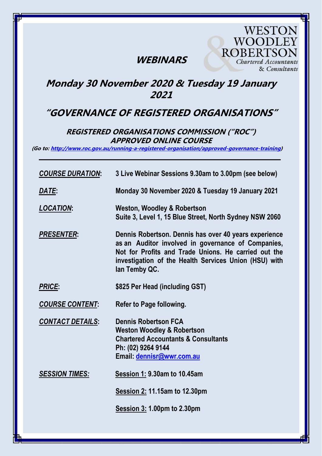## **WEBINARS**

WOODLEY **ROBERTSOI** Chartered Accountants & Consultants

**WESTON** 

## **Monday 30 November 2020 & Tuesday 19 January 2021**

## **"GOVERNANCE OF REGISTERED ORGANISATIONS"**

### **REGISTERED ORGANISATIONS COMMISSION ("ROC") APPROVED ONLINE COURSE**

**(Go to: [http://www.roc.gov.au/running-a-registered-organisation/approved-governance-training\)](http://www.roc.gov.au/running-a-registered-organisation/approved-governance-training)** *\_\_\_\_\_\_\_\_\_\_\_\_\_\_\_\_\_\_\_\_\_\_\_\_\_\_\_\_\_\_\_\_\_\_\_\_\_\_\_\_\_\_\_\_\_\_\_\_\_\_\_\_\_\_\_\_\_\_\_\_\_\_\_\_\_\_\_\_\_\_*

| <b>COURSE DURATION:</b> | 3 Live Webinar Sessions 9.30am to 3.00pm (see below)                                                                                                                                                                                          |
|-------------------------|-----------------------------------------------------------------------------------------------------------------------------------------------------------------------------------------------------------------------------------------------|
| DATE:                   | Monday 30 November 2020 & Tuesday 19 January 2021                                                                                                                                                                                             |
| <b>LOCATION:</b>        | <b>Weston, Woodley &amp; Robertson</b><br>Suite 3, Level 1, 15 Blue Street, North Sydney NSW 2060                                                                                                                                             |
| <b>PRESENTER:</b>       | Dennis Robertson. Dennis has over 40 years experience<br>as an Auditor involved in governance of Companies,<br>Not for Profits and Trade Unions. He carried out the<br>investigation of the Health Services Union (HSU) with<br>lan Temby QC. |
| <b>PRICE:</b>           | \$825 Per Head (including GST)                                                                                                                                                                                                                |
| <b>COURSE CONTENT:</b>  | Refer to Page following.                                                                                                                                                                                                                      |
| <b>CONTACT DETAILS:</b> | <b>Dennis Robertson FCA</b><br><b>Weston Woodley &amp; Robertson</b><br><b>Chartered Accountants &amp; Consultants</b><br>Ph: (02) 9264 9144<br>Email: dennisr@wwr.com.au                                                                     |
| <b>SESSION TIMES:</b>   | <b>Session 1: 9.30am to 10.45am</b>                                                                                                                                                                                                           |
|                         | Session 2: 11.15am to 12.30pm                                                                                                                                                                                                                 |
|                         | <b>Session 3: 1.00pm to 2.30pm</b>                                                                                                                                                                                                            |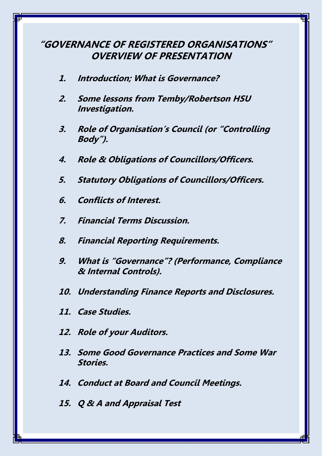## **"GOVERNANCE OF REGISTERED ORGANISATIONS" OVERVIEW OF PRESENTATION**

- **1. Introduction; What is Governance?**
- **2. Some lessons from Temby/Robertson HSU Investigation.**
- **3. Role of Organisation's Council (or "Controlling Body").**
- **4. Role & Obligations of Councillors/Officers.**
- **5. Statutory Obligations of Councillors/Officers.**
- **6. Conflicts of Interest.**
- **7. Financial Terms Discussion.**
- **8. Financial Reporting Requirements.**
- **9. What is "Governance"? (Performance, Compliance & Internal Controls).**
- **10. Understanding Finance Reports and Disclosures.**
- **11. Case Studies.**
- **12. Role of your Auditors.**
- **13. Some Good Governance Practices and Some War Stories.**
- **14. Conduct at Board and Council Meetings.**
- **15. Q & A and Appraisal Test**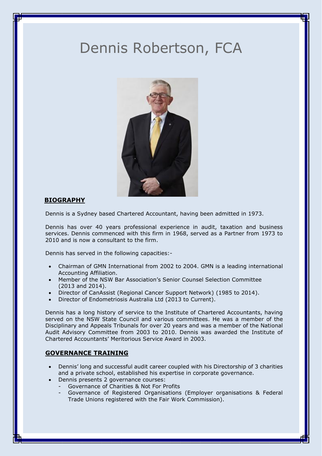# Dennis Robertson, FCA



### **BIOGRAPHY**

Dennis is a Sydney based Chartered Accountant, having been admitted in 1973.

Dennis has over 40 years professional experience in audit, taxation and business services. Dennis commenced with this firm in 1968, served as a Partner from 1973 to 2010 and is now a consultant to the firm.

Dennis has served in the following capacities:-

- Chairman of GMN International from 2002 to 2004. GMN is a leading international Accounting Affiliation.
- Member of the NSW Bar Association's Senior Counsel Selection Committee (2013 and 2014).
- Director of CanAssist (Regional Cancer Support Network) (1985 to 2014).
- Director of Endometriosis Australia Ltd (2013 to Current).

Dennis has a long history of service to the Institute of Chartered Accountants, having served on the NSW State Council and various committees. He was a member of the Disciplinary and Appeals Tribunals for over 20 years and was a member of the National Audit Advisory Committee from 2003 to 2010. Dennis was awarded the Institute of Chartered Accountants' Meritorious Service Award in 2003.

### **GOVERNANCE TRAINING**

- Dennis' long and successful audit career coupled with his Directorship of 3 charities and a private school, established his expertise in corporate governance.
- Dennis presents 2 governance courses:
	- Governance of Charities & Not For Profits
		- Governance of Registered Organisations (Employer organisations & Federal Trade Unions registered with the Fair Work Commission).